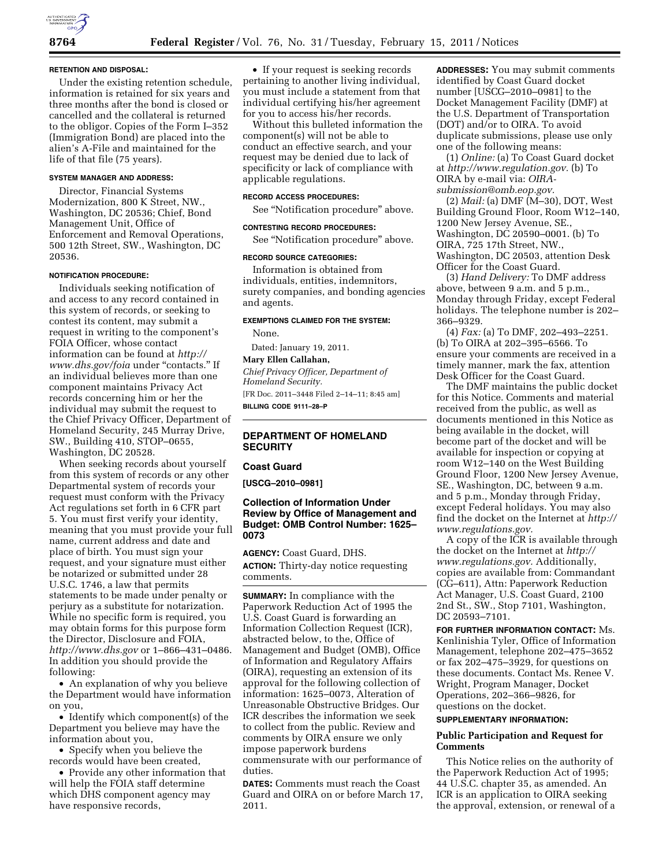#### **RETENTION AND DISPOSAL:**

Under the existing retention schedule, information is retained for six years and three months after the bond is closed or cancelled and the collateral is returned to the obligor. Copies of the Form I–352 (Immigration Bond) are placed into the alien's A-File and maintained for the life of that file (75 years).

### **SYSTEM MANAGER AND ADDRESS:**

Director, Financial Systems Modernization, 800 K Street, NW., Washington, DC 20536; Chief, Bond Management Unit, Office of Enforcement and Removal Operations, 500 12th Street, SW., Washington, DC 20536.

#### **NOTIFICATION PROCEDURE:**

Individuals seeking notification of and access to any record contained in this system of records, or seeking to contest its content, may submit a request in writing to the component's FOIA Officer, whose contact information can be found at *[http://](http://www.dhs.gov/foia)  [www.dhs.gov/foia](http://www.dhs.gov/foia)* under ''contacts.'' If an individual believes more than one component maintains Privacy Act records concerning him or her the individual may submit the request to the Chief Privacy Officer, Department of Homeland Security, 245 Murray Drive, SW., Building 410, STOP–0655, Washington, DC 20528.

When seeking records about yourself from this system of records or any other Departmental system of records your request must conform with the Privacy Act regulations set forth in 6 CFR part 5. You must first verify your identity, meaning that you must provide your full name, current address and date and place of birth. You must sign your request, and your signature must either be notarized or submitted under 28 U.S.C. 1746, a law that permits statements to be made under penalty or perjury as a substitute for notarization. While no specific form is required, you may obtain forms for this purpose form the Director, Disclosure and FOIA, *<http://www.dhs.gov>* or 1–866–431–0486. In addition you should provide the following:

• An explanation of why you believe the Department would have information on you,

• Identify which component(s) of the Department you believe may have the information about you,

• Specify when you believe the records would have been created,

• Provide any other information that will help the FOIA staff determine which DHS component agency may have responsive records,

• If your request is seeking records pertaining to another living individual, you must include a statement from that individual certifying his/her agreement for you to access his/her records.

Without this bulleted information the component(s) will not be able to conduct an effective search, and your request may be denied due to lack of specificity or lack of compliance with applicable regulations.

## **RECORD ACCESS PROCEDURES:**

See ''Notification procedure'' above.

# **CONTESTING RECORD PROCEDURES:**

See ''Notification procedure'' above.

# **RECORD SOURCE CATEGORIES:**

Information is obtained from individuals, entities, indemnitors, surety companies, and bonding agencies and agents.

### **EXEMPTIONS CLAIMED FOR THE SYSTEM:**

None.

Dated: January 19, 2011.

# **Mary Ellen Callahan,**

*Chief Privacy Officer, Department of Homeland Security.*  [FR Doc. 2011–3448 Filed 2–14–11; 8:45 am] **BILLING CODE 9111–28–P** 

# **DEPARTMENT OF HOMELAND SECURITY**

# **Coast Guard**

**[USCG–2010–0981]** 

# **Collection of Information Under Review by Office of Management and Budget: OMB Control Number: 1625– 0073**

**AGENCY:** Coast Guard, DHS. **ACTION:** Thirty-day notice requesting comments.

**SUMMARY:** In compliance with the Paperwork Reduction Act of 1995 the U.S. Coast Guard is forwarding an Information Collection Request (ICR), abstracted below, to the, Office of Management and Budget (OMB), Office of Information and Regulatory Affairs (OIRA), requesting an extension of its approval for the following collection of information: 1625–0073, Alteration of Unreasonable Obstructive Bridges. Our ICR describes the information we seek to collect from the public. Review and comments by OIRA ensure we only impose paperwork burdens commensurate with our performance of duties.

**DATES:** Comments must reach the Coast Guard and OIRA on or before March 17, 2011.

**ADDRESSES:** You may submit comments identified by Coast Guard docket number [USCG–2010–0981] to the Docket Management Facility (DMF) at the U.S. Department of Transportation (DOT) and/or to OIRA. To avoid duplicate submissions, please use only one of the following means:

(1) *Online:* (a) To Coast Guard docket at *[http://www.regulation.gov.](http://www.regulation.gov)* (b) To OIRA by e-mail via: *[OIRA](mailto:OIRA-submission@omb.eop.gov)[submission@omb.eop.gov.](mailto:OIRA-submission@omb.eop.gov)* 

(2) *Mail:* (a) DMF (M–30), DOT, West Building Ground Floor, Room W12–140, 1200 New Jersey Avenue, SE., Washington, DC 20590–0001. (b) To OIRA, 725 17th Street, NW., Washington, DC 20503, attention Desk Officer for the Coast Guard.

(3) *Hand Delivery:* To DMF address above, between 9 a.m. and 5 p.m., Monday through Friday, except Federal holidays. The telephone number is 202– 366–9329.

(4) *Fax:* (a) To DMF, 202–493–2251. (b) To OIRA at 202–395–6566. To ensure your comments are received in a timely manner, mark the fax, attention Desk Officer for the Coast Guard.

The DMF maintains the public docket for this Notice. Comments and material received from the public, as well as documents mentioned in this Notice as being available in the docket, will become part of the docket and will be available for inspection or copying at room W12–140 on the West Building Ground Floor, 1200 New Jersey Avenue, SE., Washington, DC, between 9 a.m. and 5 p.m., Monday through Friday, except Federal holidays. You may also find the docket on the Internet at *[http://](http://www.regulations.gov)  [www.regulations.gov.](http://www.regulations.gov)* 

A copy of the ICR is available through the docket on the Internet at *[http://](http://www.regulations.gov) [www.regulations.gov.](http://www.regulations.gov)* Additionally, copies are available from: Commandant (CG–611), Attn: Paperwork Reduction Act Manager, U.S. Coast Guard, 2100 2nd St., SW., Stop 7101, Washington, DC 20593–7101.

**FOR FURTHER INFORMATION CONTACT:** Ms. Kenlinishia Tyler, Office of Information Management, telephone 202–475–3652 or fax 202–475–3929, for questions on these documents. Contact Ms. Renee V. Wright, Program Manager, Docket Operations, 202–366–9826, for questions on the docket.

# **SUPPLEMENTARY INFORMATION:**

## **Public Participation and Request for Comments**

This Notice relies on the authority of the Paperwork Reduction Act of 1995; 44 U.S.C. chapter 35, as amended. An ICR is an application to OIRA seeking the approval, extension, or renewal of a